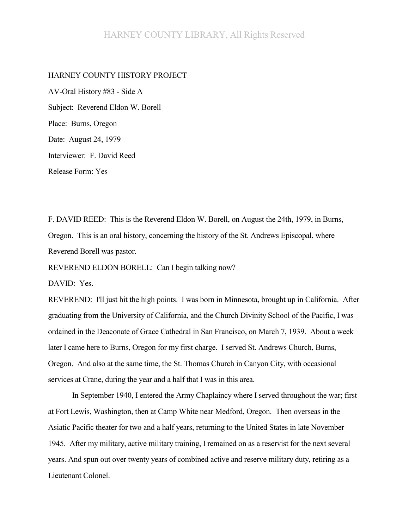## HARNEY COUNTY LIBRARY, All Rights Reserved

## HARNEY COUNTY HISTORY PROJECT

AV-Oral History #83 - Side A Subject: Reverend Eldon W. Borell Place: Burns, Oregon Date: August 24, 1979 Interviewer: F. David Reed Release Form: Yes

F. DAVID REED: This is the Reverend Eldon W. Borell, on August the 24th, 1979, in Burns, Oregon. This is an oral history, concerning the history of the St. Andrews Episcopal, where Reverend Borell was pastor.

REVEREND ELDON BORELL: Can I begin talking now?

DAVID: Yes.

REVEREND: I'll just hit the high points. I was born in Minnesota, brought up in California. After graduating from the University of California, and the Church Divinity School of the Pacific, I was ordained in the Deaconate of Grace Cathedral in San Francisco, on March 7, 1939. About a week later I came here to Burns, Oregon for my first charge. I served St. Andrews Church, Burns, Oregon. And also at the same time, the St. Thomas Church in Canyon City, with occasional services at Crane, during the year and a half that I was in this area.

In September 1940, I entered the Army Chaplaincy where I served throughout the war; first at Fort Lewis, Washington, then at Camp White near Medford, Oregon. Then overseas in the Asiatic Pacific theater for two and a half years, returning to the United States in late November 1945. After my military, active military training, I remained on as a reservist for the next several years. And spun out over twenty years of combined active and reserve military duty, retiring as a Lieutenant Colonel.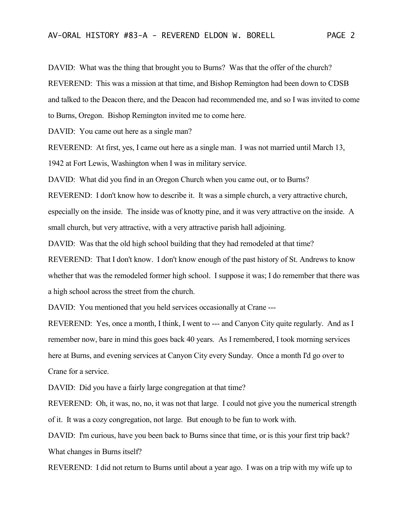DAVID: What was the thing that brought you to Burns? Was that the offer of the church?

REVEREND: This was a mission at that time, and Bishop Remington had been down to CDSB

and talked to the Deacon there, and the Deacon had recommended me, and so I was invited to come

to Burns, Oregon. Bishop Remington invited me to come here.

DAVID: You came out here as a single man?

REVEREND: At first, yes, I came out here as a single man. I was not married until March 13, 1942 at Fort Lewis, Washington when I was in military service.

DAVID: What did you find in an Oregon Church when you came out, or to Burns?

REVEREND: I don't know how to describe it. It was a simple church, a very attractive church,

especially on the inside. The inside was of knotty pine, and it was very attractive on the inside. A small church, but very attractive, with a very attractive parish hall adjoining.

DAVID: Was that the old high school building that they had remodeled at that time?

REVEREND: That I don't know. I don't know enough of the past history of St. Andrews to know whether that was the remodeled former high school. I suppose it was; I do remember that there was a high school across the street from the church.

DAVID: You mentioned that you held services occasionally at Crane ---

REVEREND: Yes, once a month, I think, I went to --- and Canyon City quite regularly. And as I remember now, bare in mind this goes back 40 years. As I remembered, I took morning services here at Burns, and evening services at Canyon City every Sunday. Once a month I'd go over to Crane for a service.

DAVID: Did you have a fairly large congregation at that time?

REVEREND: Oh, it was, no, no, it was not that large. I could not give you the numerical strength of it. It was a cozy congregation, not large. But enough to be fun to work with.

DAVID: I'm curious, have you been back to Burns since that time, or is this your first trip back? What changes in Burns itself?

REVEREND: I did not return to Burns until about a year ago. I was on a trip with my wife up to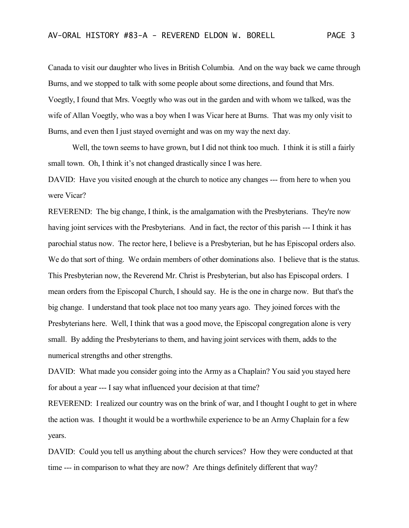Canada to visit our daughter who lives in British Columbia. And on the way back we came through Burns, and we stopped to talk with some people about some directions, and found that Mrs. Voegtly, I found that Mrs. Voegtly who was out in the garden and with whom we talked, was the wife of Allan Voegtly, who was a boy when I was Vicar here at Burns. That was my only visit to Burns, and even then I just stayed overnight and was on my way the next day.

Well, the town seems to have grown, but I did not think too much. I think it is still a fairly small town. Oh, I think it's not changed drastically since I was here.

DAVID: Have you visited enough at the church to notice any changes --- from here to when you were Vicar?

REVEREND: The big change, I think, is the amalgamation with the Presbyterians. They're now having joint services with the Presbyterians. And in fact, the rector of this parish --- I think it has parochial status now. The rector here, I believe is a Presbyterian, but he has Episcopal orders also. We do that sort of thing. We ordain members of other dominations also. I believe that is the status. This Presbyterian now, the Reverend Mr. Christ is Presbyterian, but also has Episcopal orders. I mean orders from the Episcopal Church, I should say. He is the one in charge now. But that's the big change. I understand that took place not too many years ago. They joined forces with the Presbyterians here. Well, I think that was a good move, the Episcopal congregation alone is very small. By adding the Presbyterians to them, and having joint services with them, adds to the numerical strengths and other strengths.

DAVID: What made you consider going into the Army as a Chaplain? You said you stayed here for about a year --- I say what influenced your decision at that time?

REVEREND: I realized our country was on the brink of war, and I thought I ought to get in where the action was. I thought it would be a worthwhile experience to be an Army Chaplain for a few years.

DAVID: Could you tell us anything about the church services? How they were conducted at that time --- in comparison to what they are now? Are things definitely different that way?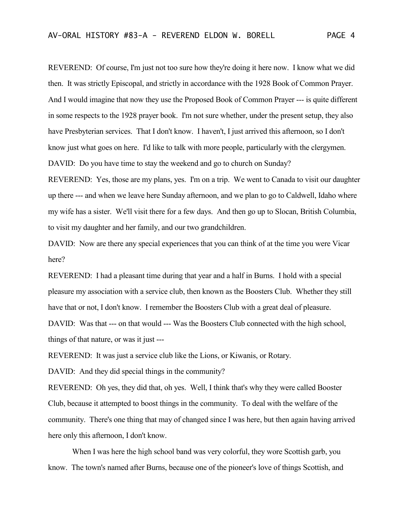REVEREND: Of course, I'm just not too sure how they're doing it here now. I know what we did then. It was strictly Episcopal, and strictly in accordance with the 1928 Book of Common Prayer. And I would imagine that now they use the Proposed Book of Common Prayer --- is quite different in some respects to the 1928 prayer book. I'm not sure whether, under the present setup, they also have Presbyterian services. That I don't know. I haven't, I just arrived this afternoon, so I don't know just what goes on here. I'd like to talk with more people, particularly with the clergymen. DAVID: Do you have time to stay the weekend and go to church on Sunday?

REVEREND: Yes, those are my plans, yes. I'm on a trip. We went to Canada to visit our daughter up there --- and when we leave here Sunday afternoon, and we plan to go to Caldwell, Idaho where my wife has a sister. We'll visit there for a few days. And then go up to Slocan, British Columbia, to visit my daughter and her family, and our two grandchildren.

DAVID: Now are there any special experiences that you can think of at the time you were Vicar here?

REVEREND: I had a pleasant time during that year and a half in Burns. I hold with a special pleasure my association with a service club, then known as the Boosters Club. Whether they still have that or not, I don't know. I remember the Boosters Club with a great deal of pleasure. DAVID: Was that --- on that would --- Was the Boosters Club connected with the high school, things of that nature, or was it just ---

REVEREND: It was just a service club like the Lions, or Kiwanis, or Rotary.

DAVID: And they did special things in the community?

REVEREND: Oh yes, they did that, oh yes. Well, I think that's why they were called Booster Club, because it attempted to boost things in the community. To deal with the welfare of the community. There's one thing that may of changed since I was here, but then again having arrived here only this afternoon, I don't know.

When I was here the high school band was very colorful, they wore Scottish garb, you know. The town's named after Burns, because one of the pioneer's love of things Scottish, and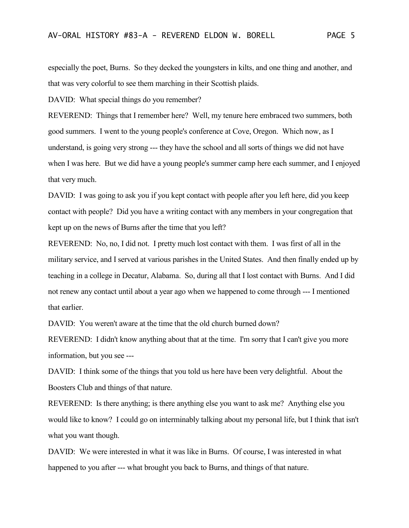especially the poet, Burns. So they decked the youngsters in kilts, and one thing and another, and that was very colorful to see them marching in their Scottish plaids.

DAVID: What special things do you remember?

REVEREND: Things that I remember here? Well, my tenure here embraced two summers, both good summers. I went to the young people's conference at Cove, Oregon. Which now, as I understand, is going very strong --- they have the school and all sorts of things we did not have when I was here. But we did have a young people's summer camp here each summer, and I enjoyed that very much.

DAVID: I was going to ask you if you kept contact with people after you left here, did you keep contact with people? Did you have a writing contact with any members in your congregation that kept up on the news of Burns after the time that you left?

REVEREND: No, no, I did not. I pretty much lost contact with them. I was first of all in the military service, and I served at various parishes in the United States. And then finally ended up by teaching in a college in Decatur, Alabama. So, during all that I lost contact with Burns. And I did not renew any contact until about a year ago when we happened to come through --- I mentioned that earlier.

DAVID: You weren't aware at the time that the old church burned down?

REVEREND: I didn't know anything about that at the time. I'm sorry that I can't give you more information, but you see ---

DAVID: I think some of the things that you told us here have been very delightful. About the Boosters Club and things of that nature.

REVEREND: Is there anything; is there anything else you want to ask me? Anything else you would like to know? I could go on interminably talking about my personal life, but I think that isn't what you want though.

DAVID: We were interested in what it was like in Burns. Of course, I was interested in what happened to you after --- what brought you back to Burns, and things of that nature.